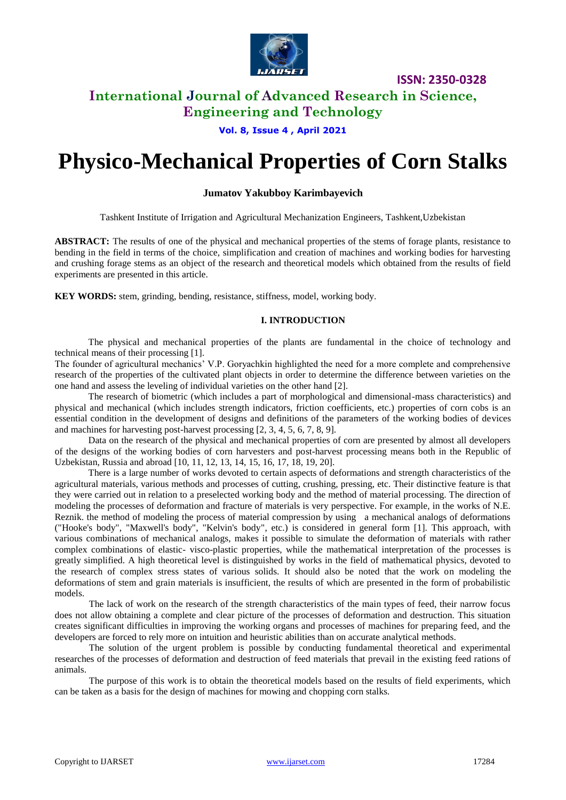

# **International Journal of Advanced Research in Science, Engineering and Technology**

**Vol. 8, Issue 4 , April 2021**

# **Physico-Mechanical Properties of Corn Stalks**

### **Jumatov Yakubboy Karimbayevich**

Tashkent Institute of Irrigation and Agricultural Mechanization Engineers, Tashkent,Uzbekistan

**ABSTRACT:** The results of one of the physical and mechanical properties of the stems of forage plants, resistance to bending in the field in terms of the choice, simplification and creation of machines and working bodies for harvesting and crushing forage stems as an object of the research and theoretical models which obtained from the results of field experiments are presented in this article.

**KEY WORDS:** stem, grinding, bending, resistance, stiffness, model, working body.

#### **I. INTRODUCTION**

The physical and mechanical properties of the plants are fundamental in the choice of technology and technical means of their processing [1].

The founder of agricultural mechanics' V.P. Goryachkin highlighted the need for a more complete and comprehensive research of the properties of the cultivated plant objects in order to determine the difference between varieties on the one hand and assess the leveling of individual varieties on the other hand [2].

The research of biometric (which includes a part of morphological and dimensional-mass characteristics) and physical and mechanical (which includes strength indicators, friction coefficients, etc.) properties of corn cobs is an essential condition in the development of designs and definitions of the parameters of the working bodies of devices and machines for harvesting post-harvest processing [2, 3, 4, 5, 6, 7, 8, 9].

Data on the research of the physical and mechanical properties of corn are presented by almost all developers of the designs of the working bodies of corn harvesters and post-harvest processing means both in the Republic of Uzbekistan, Russia and abroad [10, 11, 12, 13, 14, 15, 16, 17, 18, 19, 20].

There is a large number of works devoted to certain aspects of deformations and strength characteristics of the agricultural materials, various methods and processes of cutting, crushing, pressing, etc. Their distinctive feature is that they were carried out in relation to a preselected working body and the method of material processing. The direction of modeling the processes of deformation and fracture of materials is very perspective. For example, in the works of N.E. Reznik. the method of modeling the process of material compression by using a mechanical analogs of deformations ("Hooke's body", "Maxwell's body", "Kelvin's body", etc.) is considered in general form [1]. This approach, with various combinations of mechanical analogs, makes it possible to simulate the deformation of materials with rather complex combinations of elastic- visco-plastic properties, while the mathematical interpretation of the processes is greatly simplified. A high theoretical level is distinguished by works in the field of mathematical physics, devoted to the research of complex stress states of various solids. It should also be noted that the work on modeling the deformations of stem and grain materials is insufficient, the results of which are presented in the form of probabilistic models.

The lack of work on the research of the strength characteristics of the main types of feed, their narrow focus does not allow obtaining a complete and clear picture of the processes of deformation and destruction. This situation creates significant difficulties in improving the working organs and processes of machines for preparing feed, and the developers are forced to rely more on intuition and heuristic abilities than on accurate analytical methods.

The solution of the urgent problem is possible by conducting fundamental theoretical and experimental researches of the processes of deformation and destruction of feed materials that prevail in the existing feed rations of animals.

The purpose of this work is to obtain the theoretical models based on the results of field experiments, which can be taken as a basis for the design of machines for mowing and chopping corn stalks.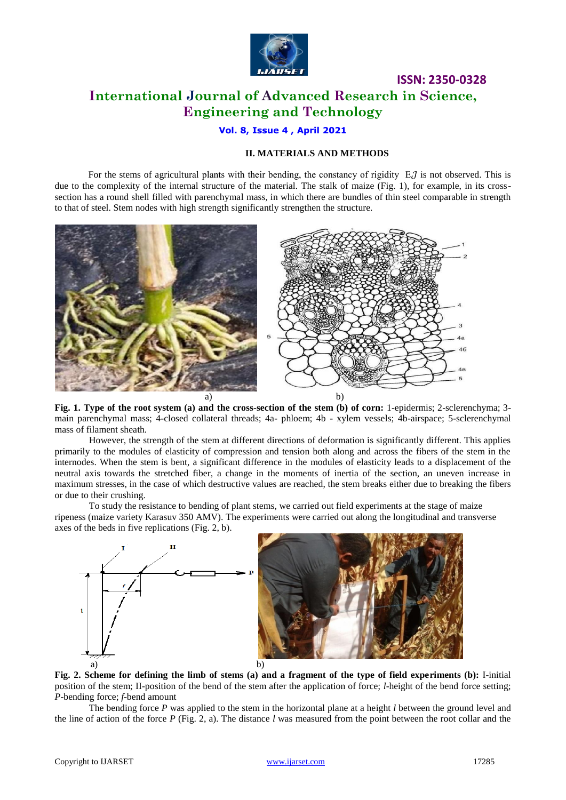

# **ISSN: 2350-0328 International Journal of Advanced Research in Science, Engineering and Technology**

### **Vol. 8, Issue 4 , April 2021**

### **II. MATERIALS AND METHODS**

For the stems of agricultural plants with their bending, the constancy of rigidity  $EJ$  is not observed. This is due to the complexity of the internal structure of the material. The stalk of maize (Fig. 1), for example, in its crosssection has a round shell filled with parenchymal mass, in which there are bundles of thin steel comparable in strength to that of steel. Stem nodes with high strength significantly strengthen the structure.



**Fig. 1. Type of the root system (a) and the cross-section of the stem (b) of corn:** 1-epidermis; 2-sclerenchyma; 3 main parenchymal mass; 4-closed collateral threads; 4a- phloem; 4b - xylem vessels; 4b-airspace; 5-sclerenchymal mass of filament sheath.

However, the strength of the stem at different directions of deformation is significantly different. This applies primarily to the modules of elasticity of compression and tension both along and across the fibers of the stem in the internodes. When the stem is bent, a significant difference in the modules of elasticity leads to a displacement of the neutral axis towards the stretched fiber, a change in the moments of inertia of the section, an uneven increase in maximum stresses, in the case of which destructive values are reached, the stem breaks either due to breaking the fibers or due to their crushing.

To study the resistance to bending of plant stems, we carried out field experiments at the stage of maize ripeness (maize variety Karasuv 350 AMV). The experiments were carried out along the longitudinal and transverse axes of the beds in five replications (Fig. 2, b).



**Fig. 2. Scheme for defining the limb of stems (a) and a fragment of the type of field experiments (b):** I-initial position of the stem; II-position of the bend of the stem after the application of force; *l*-height of the bend force setting; *P*-bending force; *f*-bend amount

The bending force *P* was applied to the stem in the horizontal plane at a height *l* between the ground level and the line of action of the force *P* (Fig. 2, a). The distance *l* was measured from the point between the root collar and the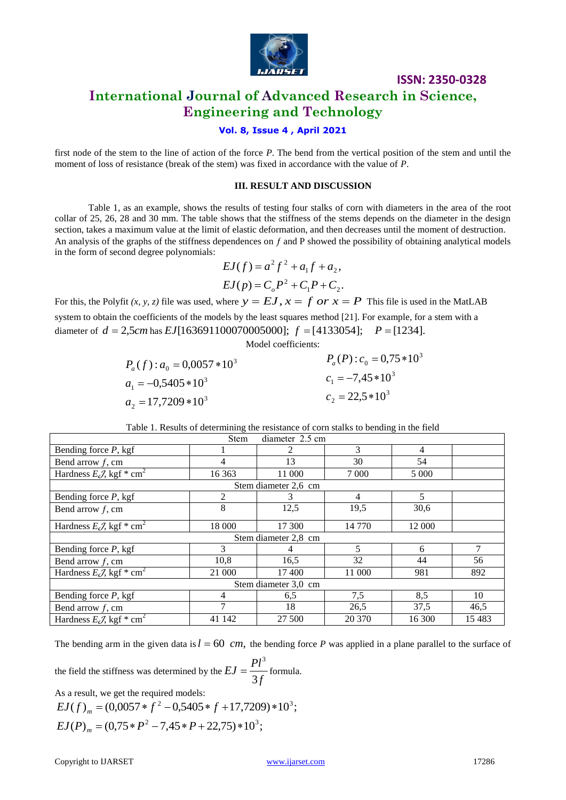

# **International Journal of Advanced Research in Science, Engineering and Technology**

### **Vol. 8, Issue 4 , April 2021**

first node of the stem to the line of action of the force *P*. The bend from the vertical position of the stem and until the moment of loss of resistance (break of the stem) was fixed in accordance with the value of *P*.

#### **III. RESULT AND DISCUSSION**

Table 1, as an example, shows the results of testing four stalks of corn with diameters in the area of the root collar of 25, 26, 28 and 30 mm. The table shows that the stiffness of the stems depends on the diameter in the design section, takes a maximum value at the limit of elastic deformation, and then decreases until the moment of destruction. An analysis of the graphs of the stiffness dependences on  $f$  and P showed the possibility of obtaining analytical models in the form of second degree polynomials:

$$
EJ(f) = a^{2} f^{2} + a_{1} f + a_{2},
$$
  
\n
$$
EJ(p) = C_{o} P^{2} + C_{1} P + C_{2}.
$$

For this, the Polyfit  $(x, y, z)$  file was used, where  $y = EJ$ ,  $x = f$  *or*  $x = P$  This file is used in the MatLAB system to obtain the coefficients of the models by the least squares method [21]. For example, for a stem with a diameter of  $d = 2,5$ *cm* has  $EJ[163691100070005000]$ ;  $f = [4133054]$ ;  $P = [1234]$ .

Model coefficients:

$$
P_a(f) : a_0 = 0,0057 * 10^3
$$
  
\n
$$
P_a(P) : c_0 = 0,75 * 10^3
$$
  
\n
$$
P_a(P) : c_0 = 0,75 * 10^3
$$
  
\n
$$
C_1 = -7,45 * 10^3
$$
  
\n
$$
C_2 = 22,5 * 10^3
$$

Table 1. Results of determining the resistance of corn stalks to bending in the field

| diameter 2.5 cm<br><b>Stem</b>                  |         |        |         |         |       |
|-------------------------------------------------|---------|--------|---------|---------|-------|
| Bending force $P$ , kgf                         |         |        | 3       | 4       |       |
| Bend arrow $f$ , cm                             | 4       | 13     | 30      | 54      |       |
| Hardness $E\mathcal{J}$ , kgf * cm <sup>2</sup> | 16 3 63 | 11 000 | 7 0 0 0 | 5 0 0 0 |       |
| Stem diameter 2,6 cm                            |         |        |         |         |       |
| Bending force $P$ , kgf                         | 2       |        | 4       | 5       |       |
| Bend arrow $f$ , cm                             | 8       | 12,5   | 19,5    | 30,6    |       |
| Hardness $E\mathcal{J}$ , kgf * cm <sup>2</sup> | 18 000  | 17 300 | 14 770  | 12 000  |       |
| Stem diameter 2.8 cm                            |         |        |         |         |       |
| Bending force $P$ , kgf                         | 3       | 4      | 5       | 6       | 7     |
| Bend arrow $f$ , cm                             | 10,8    | 16,5   | 32      | 44      | 56    |
| Hardness $E\mathcal{J}$ , kgf * cm <sup>2</sup> | 21 000  | 17400  | 11 000  | 981     | 892   |
| Stem diameter 3,0 cm                            |         |        |         |         |       |
| Bending force $P$ , kgf                         | 4       | 6,5    | 7,5     | 8,5     | 10    |
| Bend arrow $f$ , cm                             |         | 18     | 26.5    | 37,5    | 46,5  |
| Hardness $E\mathcal{J}$ , kgf * cm <sup>2</sup> | 41 142  | 27 500 | 20 370  | 16 300  | 15483 |

The bending arm in the given data is  $l = 60$  *cm*, the bending force *P* was applied in a plane parallel to the surface of

the field the stiffness was determined by the 
$$
EJ = \frac{Pl^3}{3f}
$$
 formula.

As a result, we get the required models:

$$
EJ(f)_m = (0,0057 * f^2 - 0,5405 * f + 17,7209) * 10^3;
$$
  
\n
$$
EJ(P)_m = (0,75 * P^2 - 7,45 * P + 22,75) * 10^3;
$$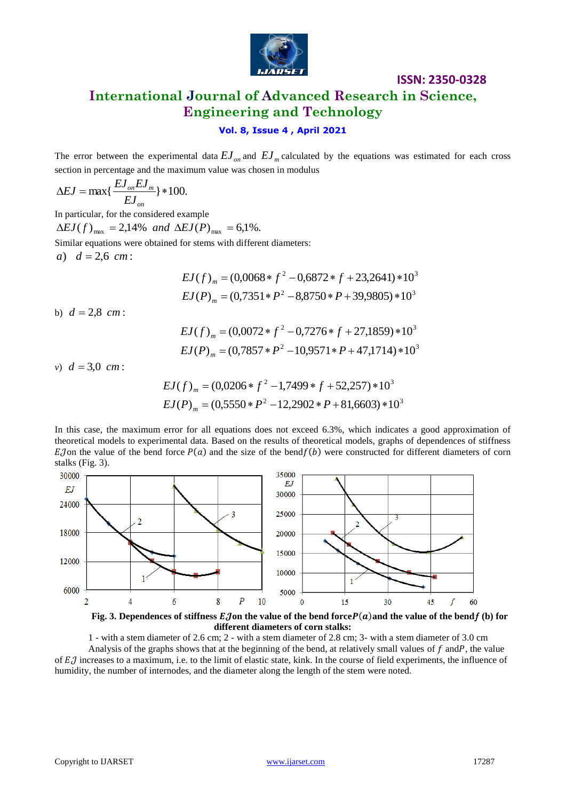

# **International Journal of Advanced Research in Science, Engineering and Technology**

## **Vol. 8, Issue 4 , April 2021**

The error between the experimental data  $EJ_{on}$  and  $EJ_{m}$  calculated by the equations was estimated for each cross section in percentage and the maximum value was chosen in modulus

$$
\Delta EJ = \max\{\frac{EJ_{on}EJ_{m}}{EJ_{on}}\} * 100.
$$

In particular, for the considered example  $\Delta E J(f)_{\text{max}} = 2{,}14\%$  and  $\Delta E J(P)_{\text{max}} = 6{,}1\%$ . Similar equations were obtained for stems with different diameters: *a*)  $d = 2.6$  *cm* :

$$
EJ(f)_m = (0,0068 * f^2 - 0,6872 * f + 23,2641) * 10^3
$$
  

$$
EJ(P)_m = (0,7351 * P^2 - 8,8750 * P + 39,9805) * 10^3
$$

b)  $d = 2.8$  *cm*:

$$
EJ(f)_m = (0,0072 * f^2 - 0,7276 * f + 27,1859) * 10^3
$$
  

$$
EJ(P)_m = (0,7857 * P^2 - 10,9571 * P + 47,1714) * 10^3
$$

*v*)  $d = 3.0 cm$ :

$$
EJ(f)_m = (0,0206 * f^2 - 1,7499 * f + 52,257) * 10^3
$$
  

$$
EJ(P)_m = (0,5550 * P^2 - 12,2902 * P + 81,6603) * 10^3
$$

In this case, the maximum error for all equations does not exceed 6.3%, which indicates a good approximation of theoretical models to experimental data. Based on the results of theoretical models, graphs of dependences of stiffness EJ on the value of the bend force  $P(a)$  and the size of the bend  $f(b)$  were constructed for different diameters of corn stalks (Fig. 3).





1 - with a stem diameter of 2.6 cm; 2 - with a stem diameter of 2.8 cm; 3- with a stem diameter of 3.0 cm Analysis of the graphs shows that at the beginning of the bend, at relatively small values of  $f$  and  $P$ , the value of  $EJ$  increases to a maximum, i.e. to the limit of elastic state, kink. In the course of field experiments, the influence of humidity, the number of internodes, and the diameter along the length of the stem were noted.